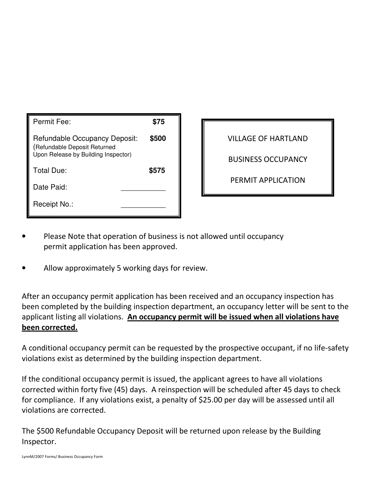| Permit Fee:                                                                                                 | \$75  |
|-------------------------------------------------------------------------------------------------------------|-------|
| <b>Refundable Occupancy Deposit:</b><br>(Refundable Deposit Returned<br>Upon Release by Building Inspector) | \$500 |
| <b>Total Due:</b>                                                                                           | \$575 |
| Date Paid:                                                                                                  |       |
| Receipt No.:                                                                                                |       |

| <b>VILLAGE OF HARTLAND</b> |
|----------------------------|
| <b>BUSINESS OCCUPANCY</b>  |
| PERMIT APPLICATION         |

- Please Note that operation of business is not allowed until occupancy permit application has been approved.
- Allow approximately 5 working days for review.

After an occupancy permit application has been received and an occupancy inspection has been completed by the building inspection department, an occupancy letter will be sent to the applicant listing all violations. An occupancy permit will be issued when all violations have been corrected.

A conditional occupancy permit can be requested by the prospective occupant, if no life-safety violations exist as determined by the building inspection department.

If the conditional occupancy permit is issued, the applicant agrees to have all violations corrected within forty five (45) days. A reinspection will be scheduled after 45 days to check for compliance. If any violations exist, a penalty of \$25.00 per day will be assessed until all violations are corrected.

The \$500 Refundable Occupancy Deposit will be returned upon release by the Building Inspector.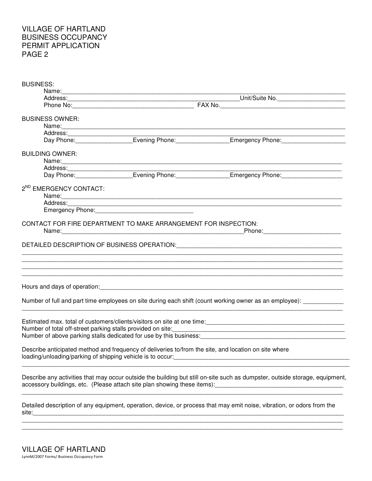## VILLAGE OF HARTLAND BUSINESS OCCUPANCY PERMIT APPLICATION PAGE 2

| <b>BUSINESS:</b>                   |                                                                                                                                                                                                                               |                                                                                                                             |
|------------------------------------|-------------------------------------------------------------------------------------------------------------------------------------------------------------------------------------------------------------------------------|-----------------------------------------------------------------------------------------------------------------------------|
|                                    |                                                                                                                                                                                                                               |                                                                                                                             |
|                                    |                                                                                                                                                                                                                               | FAX No.                                                                                                                     |
| <b>BUSINESS OWNER:</b>             |                                                                                                                                                                                                                               |                                                                                                                             |
|                                    |                                                                                                                                                                                                                               |                                                                                                                             |
|                                    |                                                                                                                                                                                                                               | Address:<br>Day Phone: ____________________Evening Phone: _______________Emergency Phone: _______________________________   |
|                                    |                                                                                                                                                                                                                               |                                                                                                                             |
| <b>BUILDING OWNER:</b>             |                                                                                                                                                                                                                               |                                                                                                                             |
|                                    | Name: Name: Name: Name: Name: Name: Name: Name: Name: Name: Name: Name: Name: Name: Name: Name: Name: Name: Name: Name: Name: Name: Name: Name: Name: Name: Name: Name: Name: Name: Name: Name: Name: Name: Name: Name: Name: |                                                                                                                             |
|                                    |                                                                                                                                                                                                                               | Address:<br>Day Phone: Evening Phone: Evening Phone: Emergency Phone:                                                       |
|                                    |                                                                                                                                                                                                                               |                                                                                                                             |
| 2 <sup>ND</sup> EMERGENCY CONTACT: |                                                                                                                                                                                                                               |                                                                                                                             |
|                                    |                                                                                                                                                                                                                               |                                                                                                                             |
|                                    |                                                                                                                                                                                                                               | Address: Address: Address: Address: Address: Address: Address: Address: Address: Address: Address: A                        |
|                                    |                                                                                                                                                                                                                               |                                                                                                                             |
|                                    | CONTACT FOR FIRE DEPARTMENT TO MAKE ARRANGEMENT FOR INSPECTION:                                                                                                                                                               |                                                                                                                             |
|                                    |                                                                                                                                                                                                                               | _Phone:______________________________                                                                                       |
|                                    |                                                                                                                                                                                                                               |                                                                                                                             |
|                                    |                                                                                                                                                                                                                               | DETAILED DESCRIPTION OF BUSINESS OPERATION: University and Alexandric Details and Alexandric Description                    |
|                                    |                                                                                                                                                                                                                               | ,我们也不能在这里的,我们也不能在这里的时候,我们也不能不能不能不能不能不能不能不能不能不能不能不能不能不能。""我们的是我们的,我们也不能不能不能不能不能不能                                            |
|                                    |                                                                                                                                                                                                                               |                                                                                                                             |
|                                    |                                                                                                                                                                                                                               |                                                                                                                             |
|                                    |                                                                                                                                                                                                                               |                                                                                                                             |
|                                    |                                                                                                                                                                                                                               |                                                                                                                             |
|                                    |                                                                                                                                                                                                                               | Number of full and part time employees on site during each shift (count working owner as an employee):                      |
|                                    |                                                                                                                                                                                                                               |                                                                                                                             |
|                                    |                                                                                                                                                                                                                               |                                                                                                                             |
|                                    |                                                                                                                                                                                                                               |                                                                                                                             |
|                                    |                                                                                                                                                                                                                               |                                                                                                                             |
|                                    |                                                                                                                                                                                                                               |                                                                                                                             |
|                                    | Describe anticipated method and frequency of deliveries to/from the site, and location on site where                                                                                                                          |                                                                                                                             |
|                                    |                                                                                                                                                                                                                               |                                                                                                                             |
|                                    |                                                                                                                                                                                                                               |                                                                                                                             |
|                                    |                                                                                                                                                                                                                               | Describe any activities that may occur outside the building but still on-site such as dumpster, outside storage, equipment, |
|                                    |                                                                                                                                                                                                                               | accessory buildings, etc. (Please attach site plan showing these items): [14] The Connection Connection Connect             |
|                                    |                                                                                                                                                                                                                               |                                                                                                                             |
|                                    |                                                                                                                                                                                                                               | Detailed description of any equipment, operation, device, or process that may emit noise, vibration, or odors from the      |
|                                    |                                                                                                                                                                                                                               |                                                                                                                             |
|                                    |                                                                                                                                                                                                                               |                                                                                                                             |
|                                    |                                                                                                                                                                                                                               |                                                                                                                             |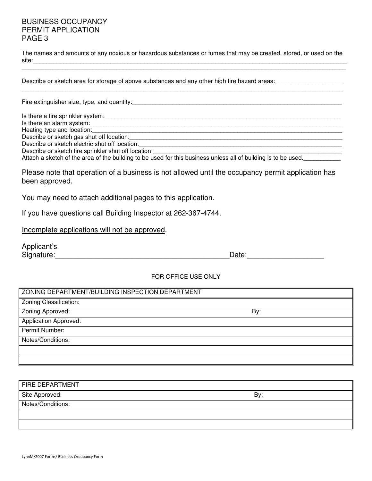## BUSINESS OCCUPANCY PERMIT APPLICATION PAGE 3

The names and amounts of any noxious or hazardous substances or fumes that may be created, stored, or used on the site:\_\_\_\_\_\_\_\_\_\_\_\_\_\_\_\_\_\_\_\_\_\_\_\_\_\_\_\_\_\_\_\_\_\_\_\_\_\_\_\_\_\_\_\_\_\_\_\_\_\_\_\_\_\_\_\_\_\_\_\_\_\_\_\_\_\_\_\_\_\_\_\_\_\_\_\_\_\_\_\_\_\_\_\_\_\_\_\_\_\_\_\_\_ \_\_\_\_\_\_\_\_\_\_\_\_\_\_\_\_\_\_\_\_\_\_\_\_\_\_\_\_\_\_\_\_\_\_\_\_\_\_\_\_\_\_\_\_\_\_\_\_\_\_\_\_\_\_\_\_\_\_\_\_\_\_\_\_\_\_\_\_\_\_\_\_\_\_\_\_\_\_\_\_\_\_\_\_\_\_\_\_\_\_\_\_\_\_\_\_

\_\_\_\_\_\_\_\_\_\_\_\_\_\_\_\_\_\_\_\_\_\_\_\_\_\_\_\_\_\_\_\_\_\_\_\_\_\_\_\_\_\_\_\_\_\_\_\_\_\_\_\_\_\_\_\_\_\_\_\_\_\_\_\_\_\_\_\_\_\_\_\_\_\_\_\_\_\_\_\_\_\_\_\_\_\_\_\_\_\_\_\_\_\_\_

Describe or sketch area for storage of above substances and any other high fire hazard areas:\_\_\_\_\_\_\_\_\_\_\_\_\_\_\_\_\_\_\_\_

Fire extinguisher size, type, and quantity:\_\_\_\_\_\_\_\_\_\_\_\_\_\_\_\_\_\_\_\_\_\_\_\_\_\_\_\_\_\_\_\_\_\_\_\_\_\_\_\_\_\_\_\_\_\_\_\_\_\_\_\_\_\_\_\_\_\_\_\_\_\_

Is there a fire sprinkler system:\_\_\_\_\_\_\_\_\_\_\_\_\_\_\_\_\_\_\_\_\_\_\_\_\_\_\_\_\_\_\_\_\_\_\_\_\_\_\_\_\_\_\_\_\_\_\_\_\_\_\_\_\_\_\_\_\_\_\_\_\_\_\_\_\_\_\_\_\_\_

Is there an alarm system:\_\_\_\_\_\_\_\_\_\_\_\_\_\_\_\_\_\_\_\_\_\_\_\_\_\_\_\_\_\_\_\_\_\_\_\_\_\_\_\_\_\_\_\_\_\_\_\_\_\_\_\_\_\_\_\_\_\_\_\_\_\_\_\_\_\_\_\_\_\_\_\_\_\_\_

Heating type and location: example of the state of the state of the state of the state of the state of the state of the state of the state of the state of the state of the state of the state of the state of the state of th

Describe or sketch gas shut off location:

Describe or sketch electric shut off location:\_\_\_\_\_\_\_\_\_\_\_\_\_\_\_\_\_\_\_\_\_\_\_\_\_\_\_\_\_\_\_\_\_\_\_\_\_\_\_\_\_\_\_\_\_\_\_\_\_\_\_\_\_\_\_\_\_\_\_\_ Describe or sketch fire sprinkler shut off location:\_\_\_\_\_\_\_\_\_\_\_\_\_\_\_\_\_\_\_\_\_\_\_\_\_\_\_\_\_\_\_\_\_\_\_\_\_\_\_\_\_\_\_\_\_\_\_\_\_\_\_\_\_\_\_\_

Attach a sketch of the area of the building to be used for this business unless all of building is to be used.

Please note that operation of a business is not allowed until the occupancy permit application has been approved.

You may need to attach additional pages to this application.

If you have questions call Building Inspector at 262-367-4744.

Incomplete applications will not be approved.

Applicant's

Signature:\_\_\_\_\_\_\_\_\_\_\_\_\_\_\_\_\_\_\_\_\_\_\_\_\_\_\_\_\_\_\_\_\_\_\_\_\_\_\_\_\_\_\_Date:\_\_\_\_\_\_\_\_\_\_\_\_\_\_\_\_\_\_\_

#### FOR OFFICE USE ONLY

| ZONING DEPARTMENT/BUILDING INSPECTION DEPARTMENT |     |
|--------------------------------------------------|-----|
| Zoning Classification:                           |     |
| Zoning Approved:                                 | By: |
| <b>Application Approved:</b>                     |     |
| Permit Number:                                   |     |
| Notes/Conditions:                                |     |
|                                                  |     |
|                                                  |     |

| FIRE DEPARTMENT   |     |
|-------------------|-----|
| Site Approved:    | By: |
| Notes/Conditions: |     |
|                   |     |
|                   |     |